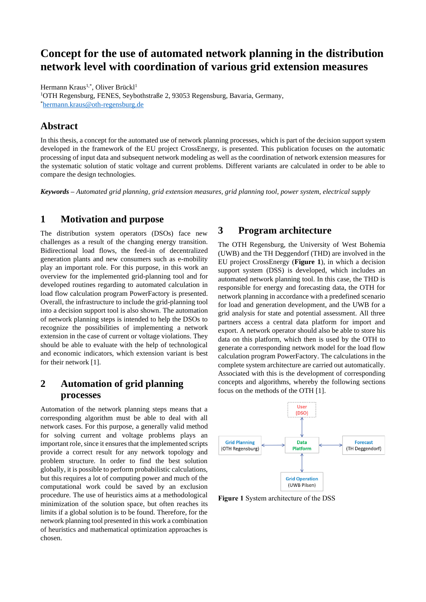# **Concept for the use of automated network planning in the distribution network level with coordination of various grid extension measures**

Hermann Kraus<sup>1,\*</sup>, Oliver Brückl<sup>1</sup> <sup>1</sup>OTH Regensburg, FENES, Seybothstraße 2, 93053 Regensburg, Bavaria, Germany, \*[hermann.kraus@oth-regensburg.de](mailto:hermann.kraus@oth-regensburg.de)

### **Abstract**

In this thesis, a concept for the automated use of network planning processes, which is part of the decision support system developed in the framework of the EU project CrossEnergy, is presented. This publication focuses on the automatic processing of input data and subsequent network modeling as well as the coordination of network extension measures for the systematic solution of static voltage and current problems. Different variants are calculated in order to be able to compare the design technologies.

*Keywords – Automated grid planning, grid extension measures, grid planning tool, power system, electrical supply*

### **1 Motivation and purpose**

The distribution system operators (DSOs) face new challenges as a result of the changing energy transition. Bidirectional load flows, the feed-in of decentralized generation plants and new consumers such as e-mobility play an important role. For this purpose, in this work an overview for the implemented grid-planning tool and for developed routines regarding to automated calculation in load flow calculation program PowerFactory is presented. Overall, the infrastructure to include the grid-planning tool into a decision support tool is also shown. The automation of network planning steps is intended to help the DSOs to recognize the possibilities of implementing a network extension in the case of current or voltage violations. They should be able to evaluate with the help of technological and economic indicators, which extension variant is best for their network [1].

## **2 Automation of grid planning processes**

Automation of the network planning steps means that a corresponding algorithm must be able to deal with all network cases. For this purpose, a generally valid method for solving current and voltage problems plays an important role, since it ensures that the implemented scripts provide a correct result for any network topology and problem structure. In order to find the best solution globally, it is possible to perform probabilistic calculations, but this requires a lot of computing power and much of the computational work could be saved by an exclusion procedure. The use of heuristics aims at a methodological minimization of the solution space, but often reaches its limits if a global solution is to be found. Therefore, for the network planning tool presented in this work a combination of heuristics and mathematical optimization approaches is chosen.

### **3 Program architecture**

The OTH Regensburg, the University of West Bohemia (UWB) and the TH Deggendorf (THD) are involved in the EU project CrossEnergy (**Figure 1**), in which a decision support system (DSS) is developed, which includes an automated network planning tool. In this case, the THD is responsible for energy and forecasting data, the OTH for network planning in accordance with a predefined scenario for load and generation development, and the UWB for a grid analysis for state and potential assessment. All three partners access a central data platform for import and export. A network operator should also be able to store his data on this platform, which then is used by the OTH to generate a corresponding network model for the load flow calculation program PowerFactory. The calculations in the complete system architecture are carried out automatically. Associated with this is the development of corresponding concepts and algorithms, whereby the following sections focus on the methods of the OTH [1].



**Figure 1** System architecture of the DSS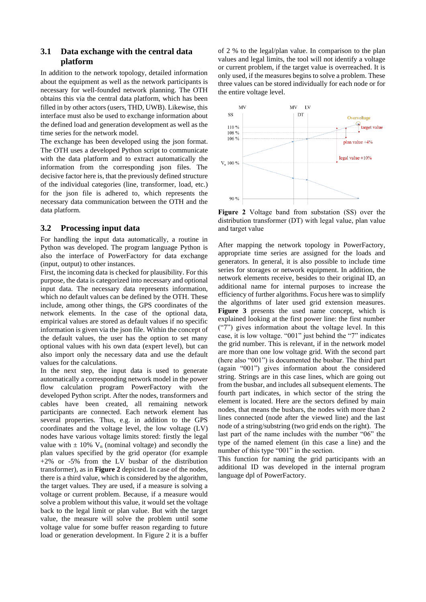#### **3.1 Data exchange with the central data platform**

In addition to the network topology, detailed information about the equipment as well as the network participants is necessary for well-founded network planning. The OTH obtains this via the central data platform, which has been filled in by other actors (users, THD, UWB). Likewise, this interface must also be used to exchange information about the defined load and generation development as well as the time series for the network model.

The exchange has been developed using the json format. The OTH uses a developed Python script to communicate with the data platform and to extract automatically the information from the corresponding json files. The decisive factor here is, that the previously defined structure of the individual categories (line, transformer, load, etc.) for the json file is adhered to, which represents the necessary data communication between the OTH and the data platform.

#### **3.2 Processing input data**

For handling the input data automatically, a routine in Python was developed. The program language Python is also the interface of PowerFactory for data exchange (input, output) to other instances.

First, the incoming data is checked for plausibility. For this purpose, the data is categorized into necessary and optional input data. The necessary data represents information, which no default values can be defined by the OTH. These include, among other things, the GPS coordinates of the network elements. In the case of the optional data, empirical values are stored as default values if no specific information is given via the json file. Within the concept of the default values, the user has the option to set many optional values with his own data (expert level), but can also import only the necessary data and use the default values for the calculations.

In the next step, the input data is used to generate automatically a corresponding network model in the power flow calculation program PowerFactory with the developed Python script. After the nodes, transformers and cables have been created, all remaining network participants are connected. Each network element has several properties. Thus, e.g. in addition to the GPS coordinates and the voltage level, the low voltage (LV) nodes have various voltage limits stored: firstly the legal value with  $\pm$  10% V<sub>n</sub> (nominal voltage) and secondly the plan values specified by the grid operator (for example +2% or -5% from the LV busbar of the distribution transformer), as in **Figure 2** depicted. In case of the nodes, there is a third value, which is considered by the algorithm, the target values. They are used, if a measure is solving a voltage or current problem. Because, if a measure would solve a problem without this value, it would set the voltage back to the legal limit or plan value. But with the target value, the measure will solve the problem until some voltage value for some buffer reason regarding to future load or generation development. In Figure 2 it is a buffer of 2 % to the legal/plan value. In comparison to the plan values and legal limits, the tool will not identify a voltage or current problem, if the target value is overreached. It is only used, if the measures begins to solve a problem. These three values can be stored individually for each node or for the entire voltage level.



**Figure 2** Voltage band from substation (SS) over the distribution transformer (DT) with legal value, plan value and target value

After mapping the network topology in PowerFactory, appropriate time series are assigned for the loads and generators. In general, it is also possible to include time series for storages or network equipment. In addition, the network elements receive, besides to their original ID, an additional name for internal purposes to increase the efficiency of further algorithms. Focus here was to simplify the algorithms of later used grid extension measures. **Figure 3** presents the used name concept, which is explained looking at the first power line: the first number ("7") gives information about the voltage level. In this case, it is low voltage. "001" just behind the "7" indicates the grid number. This is relevant, if in the network model are more than one low voltage grid. With the second part (here also "001") is documented the busbar. The third part (again "001") gives information about the considered string. Strings are in this case lines, which are going out from the busbar, and includes all subsequent elements. The fourth part indicates, in which sector of the string the element is located. Here are the sectors defined by main nodes, that means the busbars, the nodes with more than 2 lines connected (node after the viewed line) and the last node of a string/substring (two grid ends on the right). The last part of the name includes with the number "06" the type of the named element (in this case a line) and the number of this type "001" in the section.

This function for naming the grid participants with an additional ID was developed in the internal program language dpl of PowerFactory.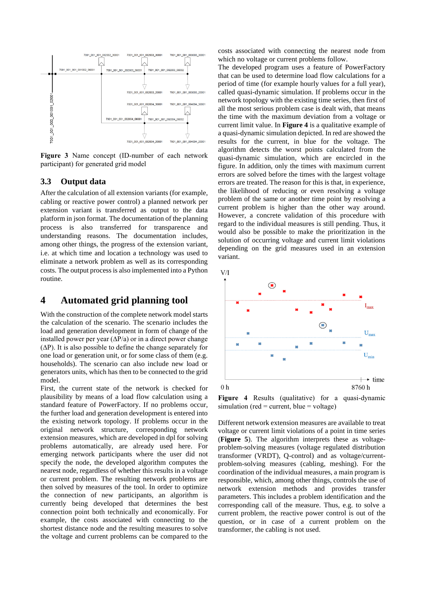

**Figure 3** Name concept (ID-number of each network participant) for generated grid model

#### **3.3 Output data**

After the calculation of all extension variants (for example, cabling or reactive power control) a planned network per extension variant is transferred as output to the data platform in json format. The documentation of the planning process is also transferred for transparence and understanding reasons. The documentation includes, among other things, the progress of the extension variant, i.e. at which time and location a technology was used to eliminate a network problem as well as its corresponding costs. The output process is also implemented into a Python routine.

### **4 Automated grid planning tool**

With the construction of the complete network model starts the calculation of the scenario. The scenario includes the load and generation development in form of change of the installed power per year  $(\Delta P/a)$  or in a direct power change (∆P). It is also possible to define the change separately for one load or generation unit, or for some class of them (e.g. households). The scenario can also include new load or generators units, which has then to be connected to the grid model.

First, the current state of the network is checked for plausibility by means of a load flow calculation using a standard feature of PowerFactory. If no problems occur, the further load and generation development is entered into the existing network topology. If problems occur in the original network structure, corresponding network extension measures, which are developed in dpl for solving problems automatically, are already used here. For emerging network participants where the user did not specify the node, the developed algorithm computes the nearest node, regardless of whether this results in a voltage or current problem. The resulting network problems are then solved by measures of the tool. In order to optimize the connection of new participants, an algorithm is currently being developed that determines the best connection point both technically and economically. For example, the costs associated with connecting to the shortest distance node and the resulting measures to solve the voltage and current problems can be compared to the costs associated with connecting the nearest node from which no voltage or current problems follow.

The developed program uses a feature of PowerFactory that can be used to determine load flow calculations for a period of time (for example hourly values for a full year), called quasi-dynamic simulation. If problems occur in the network topology with the existing time series, then first of all the most serious problem case is dealt with, that means the time with the maximum deviation from a voltage or current limit value. In **Figure 4** is a qualitative example of a quasi-dynamic simulation depicted. In red are showed the results for the current, in blue for the voltage. The algorithm detects the worst points calculated from the quasi-dynamic simulation, which are encircled in the figure. In addition, only the times with maximum current errors are solved before the times with the largest voltage errors are treated. The reason for this is that, in experience, the likelihood of reducing or even resolving a voltage problem of the same or another time point by resolving a current problem is higher than the other way around. However, a concrete validation of this procedure with regard to the individual measures is still pending. Thus, it would also be possible to make the prioritization in the solution of occurring voltage and current limit violations depending on the grid measures used in an extension variant.





**Figure 4** Results (qualitative) for a quasi-dynamic  $simulation (red = current, blue = voltage)$ 

Different network extension measures are available to treat voltage or current limit violations of a point in time series (**Figure 5**). The algorithm interprets these as voltageproblem-solving measures (voltage regulated distribution transformer (VRDT), Q-control) and as voltage/currentproblem-solving measures (cabling, meshing). For the coordination of the individual measures, a main program is responsible, which, among other things, controls the use of network extension methods and provides transfer parameters. This includes a problem identification and the corresponding call of the measure. Thus, e.g. to solve a current problem, the reactive power control is out of the question, or in case of a current problem on the transformer, the cabling is not used.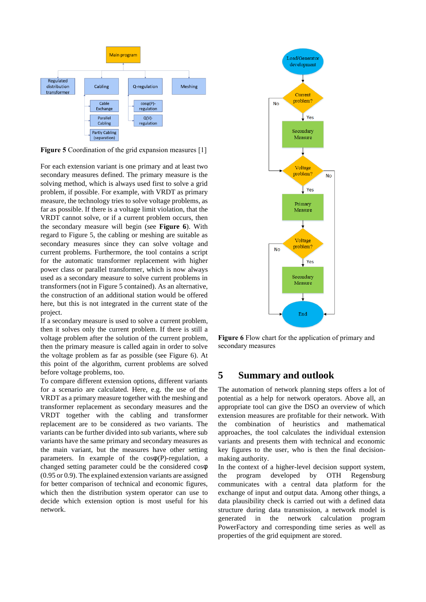

**Figure 5** Coordination of the grid expansion measures [1]

For each extension variant is one primary and at least two secondary measures defined. The primary measure is the solving method, which is always used first to solve a grid problem, if possible. For example, with VRDT as primary measure, the technology tries to solve voltage problems, as far as possible. If there is a voltage limit violation, that the VRDT cannot solve, or if a current problem occurs, then the secondary measure will begin (see **Figure 6**). With regard to Figure 5, the cabling or meshing are suitable as secondary measures since they can solve voltage and current problems. Furthermore, the tool contains a script for the automatic transformer replacement with higher power class or parallel transformer, which is now always used as a secondary measure to solve current problems in transformers (not in Figure 5 contained). As an alternative, the construction of an additional station would be offered here, but this is not integrated in the current state of the project.

If a secondary measure is used to solve a current problem, then it solves only the current problem. If there is still a voltage problem after the solution of the current problem, then the primary measure is called again in order to solve the voltage problem as far as possible (see Figure 6). At this point of the algorithm, current problems are solved before voltage problems, too.

To compare different extension options, different variants for a scenario are calculated. Here, e.g. the use of the VRDT as a primary measure together with the meshing and transformer replacement as secondary measures and the VRDT together with the cabling and transformer replacement are to be considered as two variants. The variants can be further divided into sub variants, where sub variants have the same primary and secondary measures as the main variant, but the measures have other setting parameters. In example of the  $cos\varphi(P)$ -regulation, a changed setting parameter could be the considered cosφ (0.95 or 0.9). The explained extension variants are assigned for better comparison of technical and economic figures, which then the distribution system operator can use to decide which extension option is most useful for his network.



**Figure 6** Flow chart for the application of primary and secondary measures

## **5 Summary and outlook**

The automation of network planning steps offers a lot of potential as a help for network operators. Above all, an appropriate tool can give the DSO an overview of which extension measures are profitable for their network. With the combination of heuristics and mathematical approaches, the tool calculates the individual extension variants and presents them with technical and economic key figures to the user, who is then the final decisionmaking authority.

In the context of a higher-level decision support system, the program developed by OTH Regensburg communicates with a central data platform for the exchange of input and output data. Among other things, a data plausibility check is carried out with a defined data structure during data transmission, a network model is generated in the network calculation program PowerFactory and corresponding time series as well as properties of the grid equipment are stored.